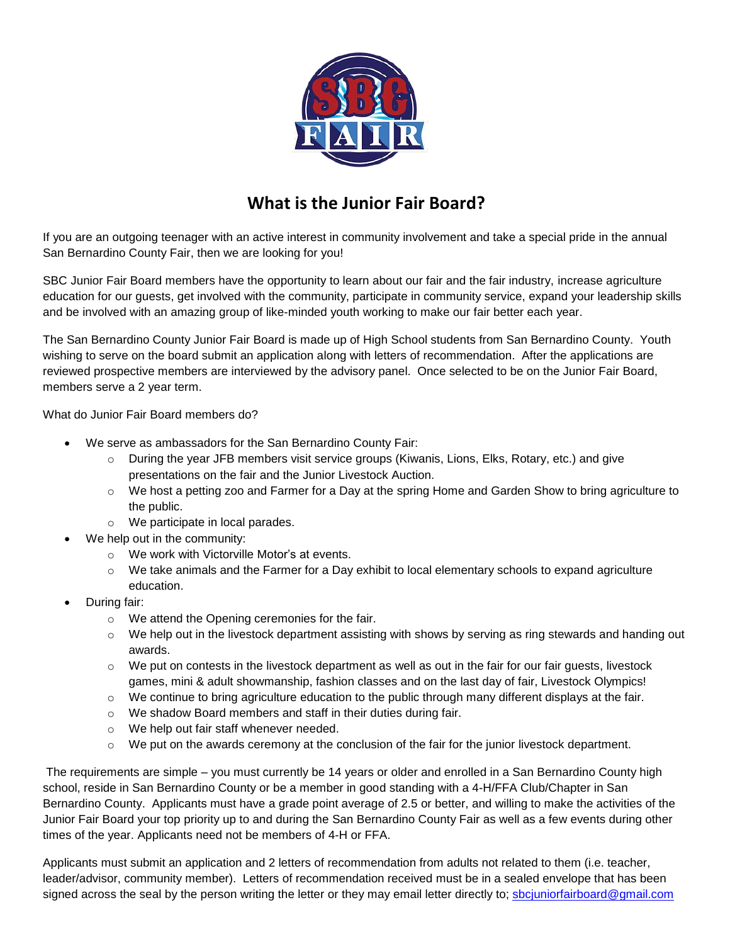

## **What is the Junior Fair Board?**

If you are an outgoing teenager with an active interest in community involvement and take a special pride in the annual San Bernardino County Fair, then we are looking for you!

SBC Junior Fair Board members have the opportunity to learn about our fair and the fair industry, increase agriculture education for our guests, get involved with the community, participate in community service, expand your leadership skills and be involved with an amazing group of like-minded youth working to make our fair better each year.

The San Bernardino County Junior Fair Board is made up of High School students from San Bernardino County. Youth wishing to serve on the board submit an application along with letters of recommendation. After the applications are reviewed prospective members are interviewed by the advisory panel. Once selected to be on the Junior Fair Board, members serve a 2 year term.

What do Junior Fair Board members do?

- We serve as ambassadors for the San Bernardino County Fair:
	- o During the year JFB members visit service groups (Kiwanis, Lions, Elks, Rotary, etc.) and give presentations on the fair and the Junior Livestock Auction.
	- $\circ$  We host a petting zoo and Farmer for a Day at the spring Home and Garden Show to bring agriculture to the public.
	- o We participate in local parades.
- We help out in the community:
	- o We work with Victorville Motor's at events.
	- $\circ$  We take animals and the Farmer for a Day exhibit to local elementary schools to expand agriculture education.
- During fair:
	- o We attend the Opening ceremonies for the fair.
	- o We help out in the livestock department assisting with shows by serving as ring stewards and handing out awards.
	- $\circ$  We put on contests in the livestock department as well as out in the fair for our fair guests, livestock games, mini & adult showmanship, fashion classes and on the last day of fair, Livestock Olympics!
	- $\circ$  We continue to bring agriculture education to the public through many different displays at the fair.
	- o We shadow Board members and staff in their duties during fair.
	- o We help out fair staff whenever needed.
	- $\circ$  We put on the awards ceremony at the conclusion of the fair for the junior livestock department.

The requirements are simple – you must currently be 14 years or older and enrolled in a San Bernardino County high school, reside in San Bernardino County or be a member in good standing with a 4-H/FFA Club/Chapter in San Bernardino County. Applicants must have a grade point average of 2.5 or better, and willing to make the activities of the Junior Fair Board your top priority up to and during the San Bernardino County Fair as well as a few events during other times of the year. Applicants need not be members of 4-H or FFA.

Applicants must submit an application and 2 letters of recommendation from adults not related to them (i.e. teacher, leader/advisor, community member). Letters of recommendation received must be in a sealed envelope that has been signed across the seal by the person writing the letter or they may email letter directly to; [sbcjuniorfairboard@gmail.com](mailto:sbcjuniorfairboard@gmail.com)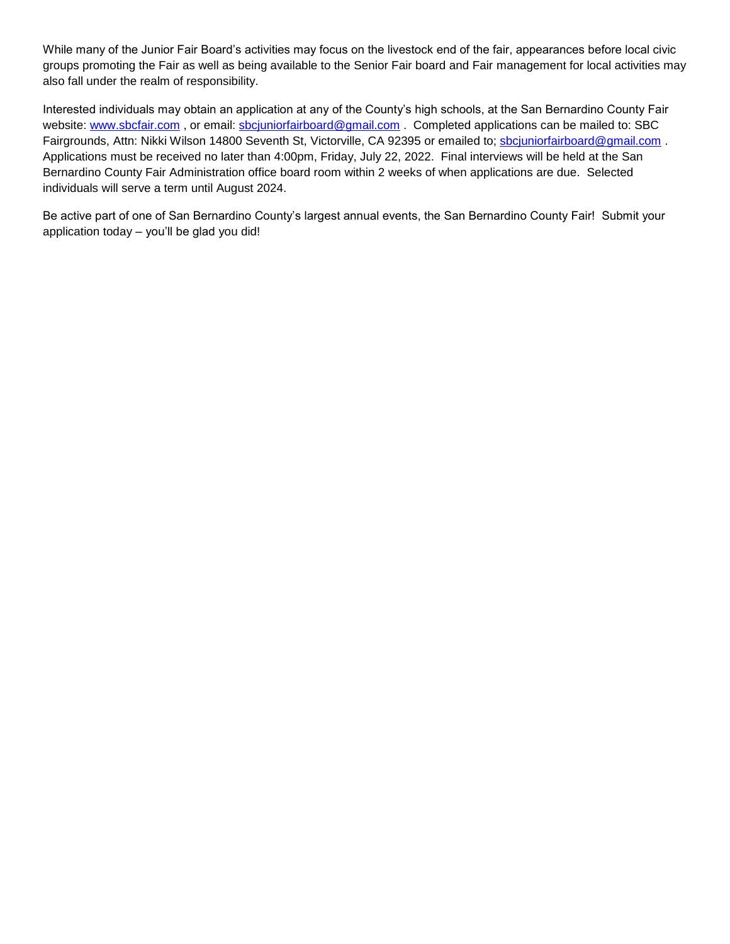While many of the Junior Fair Board's activities may focus on the livestock end of the fair, appearances before local civic groups promoting the Fair as well as being available to the Senior Fair board and Fair management for local activities may also fall under the realm of responsibility.

Interested individuals may obtain an application at any of the County's high schools, at the San Bernardino County Fair website: [www.sbcfair.com](http://www.sbcfair.com/), or email: [sbcjuniorfairboard@gmail.com](mailto:sbcjuniorfairboard@gmail.com). Completed applications can be mailed to: SBC Fairgrounds, Attn: Nikki Wilson 14800 Seventh St, Victorville, CA 92395 or emailed to; [sbcjuniorfairboard@gmail.com](mailto:sbcjuniorfairboard@gmail.com) . Applications must be received no later than 4:00pm, Friday, July 22, 2022. Final interviews will be held at the San Bernardino County Fair Administration office board room within 2 weeks of when applications are due. Selected individuals will serve a term until August 2024.

Be active part of one of San Bernardino County's largest annual events, the San Bernardino County Fair! Submit your application today – you'll be glad you did!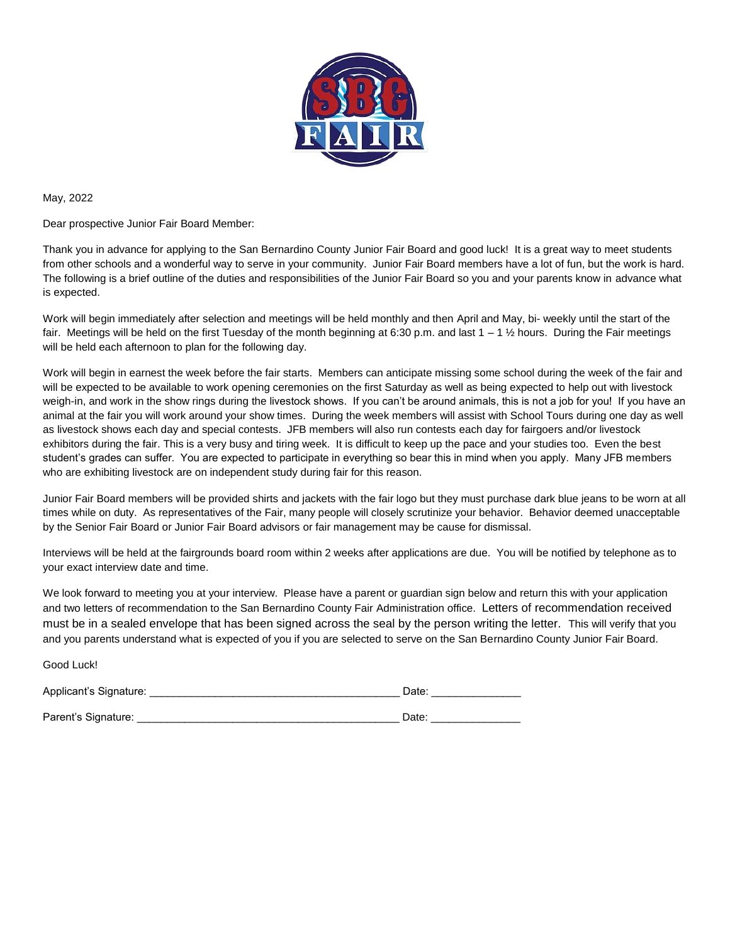

May, 2022

Dear prospective Junior Fair Board Member:

Thank you in advance for applying to the San Bernardino County Junior Fair Board and good luck! It is a great way to meet students from other schools and a wonderful way to serve in your community. Junior Fair Board members have a lot of fun, but the work is hard. The following is a brief outline of the duties and responsibilities of the Junior Fair Board so you and your parents know in advance what is expected.

Work will begin immediately after selection and meetings will be held monthly and then April and May, bi- weekly until the start of the fair. Meetings will be held on the first Tuesday of the month beginning at 6:30 p.m. and last  $1 - 1 \frac{1}{2}$  hours. During the Fair meetings will be held each afternoon to plan for the following day.

Work will begin in earnest the week before the fair starts. Members can anticipate missing some school during the week of the fair and will be expected to be available to work opening ceremonies on the first Saturday as well as being expected to help out with livestock weigh-in, and work in the show rings during the livestock shows. If you can't be around animals, this is not a job for you! If you have an animal at the fair you will work around your show times. During the week members will assist with School Tours during one day as well as livestock shows each day and special contests. JFB members will also run contests each day for fairgoers and/or livestock exhibitors during the fair. This is a very busy and tiring week. It is difficult to keep up the pace and your studies too. Even the best student's grades can suffer. You are expected to participate in everything so bear this in mind when you apply. Many JFB members who are exhibiting livestock are on independent study during fair for this reason.

Junior Fair Board members will be provided shirts and jackets with the fair logo but they must purchase dark blue jeans to be worn at all times while on duty. As representatives of the Fair, many people will closely scrutinize your behavior. Behavior deemed unacceptable by the Senior Fair Board or Junior Fair Board advisors or fair management may be cause for dismissal.

Interviews will be held at the fairgrounds board room within 2 weeks after applications are due. You will be notified by telephone as to your exact interview date and time.

We look forward to meeting you at your interview. Please have a parent or guardian sign below and return this with your application and two letters of recommendation to the San Bernardino County Fair Administration office. Letters of recommendation received must be in a sealed envelope that has been signed across the seal by the person writing the letter. This will verify that you and you parents understand what is expected of you if you are selected to serve on the San Bernardino County Junior Fair Board.

| Good Luck!             |       |
|------------------------|-------|
| Applicant's Signature: | Date: |
| Parent's Signature:    | Date: |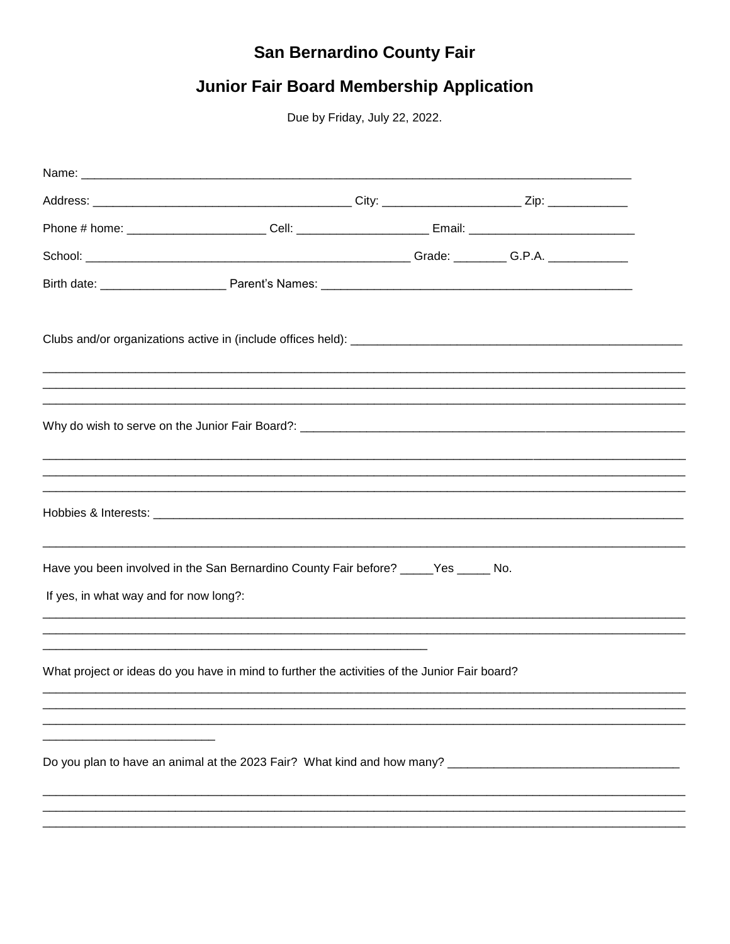## San Bernardino County Fair

## **Junior Fair Board Membership Application**

Due by Friday, July 22, 2022.

|                                        | Phone # home: _________________________Cell: ___________________________Email: _______________________________ |  |
|----------------------------------------|----------------------------------------------------------------------------------------------------------------|--|
|                                        |                                                                                                                |  |
|                                        |                                                                                                                |  |
|                                        |                                                                                                                |  |
|                                        |                                                                                                                |  |
|                                        |                                                                                                                |  |
| If yes, in what way and for now long?: | Have you been involved in the San Bernardino County Fair before? _____Yes ______ No.                           |  |
|                                        | What project or ideas do you have in mind to further the activities of the Junior Fair board?                  |  |
|                                        |                                                                                                                |  |
|                                        |                                                                                                                |  |